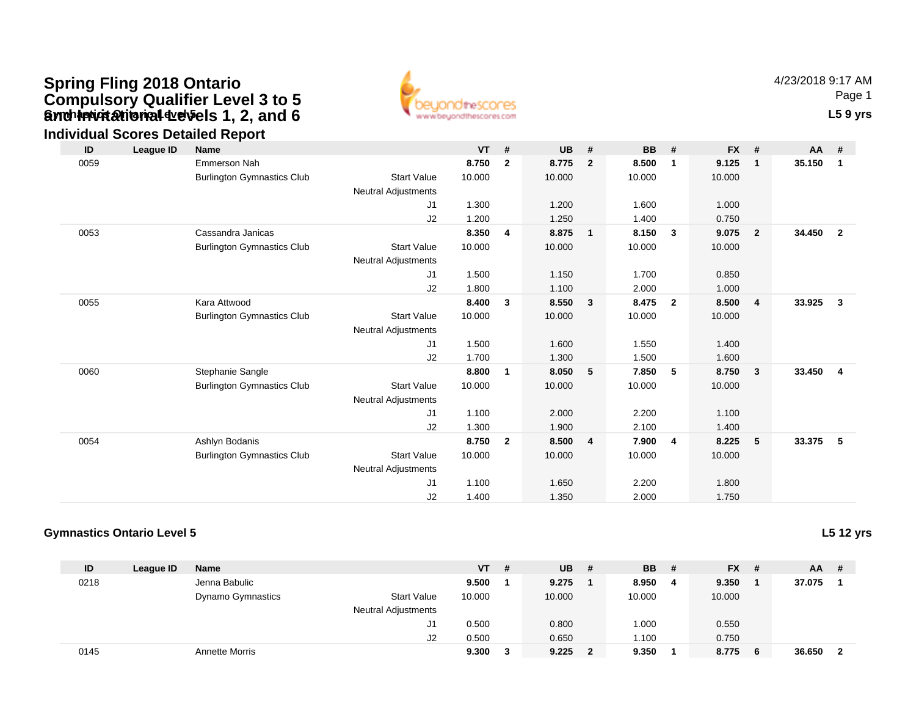# **Gynch invitational develos 1, 2, and 6** the contact of the correscont contact of the contact of the contact of the contact of the contact of the contact of the contact of the contact of the contact of the contact of the c **Spring Fling 2018 Ontario Compulsory Qualifier Level 3 to 5 and Invitational Levels 1, 2, and 6**



4/23/2018 9:17 AMPage 1

### **Individual Scores Detailed Report**

| ID   | League ID | <b>Name</b>                       |                            | <b>VT</b> | #              | <b>UB</b> | #                       | <b>BB</b> | #                       | <b>FX</b> | #              | $AA$ # |                |
|------|-----------|-----------------------------------|----------------------------|-----------|----------------|-----------|-------------------------|-----------|-------------------------|-----------|----------------|--------|----------------|
| 0059 |           | <b>Emmerson Nah</b>               |                            | 8.750     | $\overline{2}$ | 8.775     | $\overline{2}$          | 8.500     | $\mathbf{1}$            | 9.125     | $\mathbf 1$    | 35.150 | $\mathbf{1}$   |
|      |           | <b>Burlington Gymnastics Club</b> | <b>Start Value</b>         | 10.000    |                | 10.000    |                         | 10.000    |                         | 10.000    |                |        |                |
|      |           |                                   | Neutral Adjustments        |           |                |           |                         |           |                         |           |                |        |                |
|      |           |                                   | J1                         | 1.300     |                | 1.200     |                         | 1.600     |                         | 1.000     |                |        |                |
|      |           |                                   | J2                         | 1.200     |                | 1.250     |                         | 1.400     |                         | 0.750     |                |        |                |
| 0053 |           | Cassandra Janicas                 |                            | 8.350     | $\overline{4}$ | 8.875     | $\overline{1}$          | 8.150     | $\overline{\mathbf{3}}$ | 9.075     | $\overline{2}$ | 34.450 | $\overline{2}$ |
|      |           | <b>Burlington Gymnastics Club</b> | <b>Start Value</b>         | 10.000    |                | 10.000    |                         | 10.000    |                         | 10.000    |                |        |                |
|      |           |                                   | Neutral Adjustments        |           |                |           |                         |           |                         |           |                |        |                |
|      |           |                                   | J1                         | 1.500     |                | 1.150     |                         | 1.700     |                         | 0.850     |                |        |                |
|      |           |                                   | J2                         | 1.800     |                | 1.100     |                         | 2.000     |                         | 1.000     |                |        |                |
| 0055 |           | Kara Attwood                      |                            | 8.400     | 3              | 8.550     | $\overline{\mathbf{3}}$ | 8.475     | $\overline{\mathbf{2}}$ | 8.500     | 4              | 33.925 | $\mathbf{3}$   |
|      |           | <b>Burlington Gymnastics Club</b> | <b>Start Value</b>         | 10.000    |                | 10.000    |                         | 10.000    |                         | 10.000    |                |        |                |
|      |           |                                   | Neutral Adjustments        |           |                |           |                         |           |                         |           |                |        |                |
|      |           |                                   | J1                         | 1.500     |                | 1.600     |                         | 1.550     |                         | 1.400     |                |        |                |
|      |           |                                   | J2                         | 1.700     |                | 1.300     |                         | 1.500     |                         | 1.600     |                |        |                |
| 0060 |           | Stephanie Sangle                  |                            | 8.800     | 1              | 8.050     | 5                       | 7.850     | - 5                     | 8.750     | 3              | 33.450 | 4              |
|      |           | <b>Burlington Gymnastics Club</b> | <b>Start Value</b>         | 10.000    |                | 10.000    |                         | 10.000    |                         | 10.000    |                |        |                |
|      |           |                                   | Neutral Adjustments        |           |                |           |                         |           |                         |           |                |        |                |
|      |           |                                   | J1                         | 1.100     |                | 2.000     |                         | 2.200     |                         | 1.100     |                |        |                |
|      |           |                                   | J2                         | 1.300     |                | 1.900     |                         | 2.100     |                         | 1.400     |                |        |                |
| 0054 |           | Ashlyn Bodanis                    |                            | 8.750     | $\overline{2}$ | 8.500     | $\overline{4}$          | 7.900     | -4                      | 8.225     | 5              | 33.375 | $-5$           |
|      |           | <b>Burlington Gymnastics Club</b> | <b>Start Value</b>         | 10.000    |                | 10.000    |                         | 10.000    |                         | 10.000    |                |        |                |
|      |           |                                   | <b>Neutral Adjustments</b> |           |                |           |                         |           |                         |           |                |        |                |
|      |           |                                   | J1                         | 1.100     |                | 1.650     |                         | 2.200     |                         | 1.800     |                |        |                |
|      |           |                                   | J2                         | 1.400     |                | 1.350     |                         | 2.000     |                         | 1.750     |                |        |                |

#### **Gymnastics Ontario Level 5**

**L5 12 yrs**

| ID   | League ID | Name                       |                    | <b>VT</b> | # | <b>UB</b> | <b>BB</b> | - # | <b>FX</b> | - # | <b>AA</b> | -# |
|------|-----------|----------------------------|--------------------|-----------|---|-----------|-----------|-----|-----------|-----|-----------|----|
| 0218 |           | Jenna Babulic              |                    | 9.500     |   | 9.275     | 8.950     |     | 9.350     |     | 37.075    |    |
|      |           | Dynamo Gymnastics          | <b>Start Value</b> | 10.000    |   | 10.000    | 10.000    |     | 10.000    |     |           |    |
|      |           | <b>Neutral Adjustments</b> |                    |           |   |           |           |     |           |     |           |    |
|      |           |                            | J1                 | 0.500     |   | 0.800     | .000      |     | 0.550     |     |           |    |
|      |           |                            | J2                 | 0.500     |   | 0.650     | 1.100     |     | 0.750     |     |           |    |
| 0145 |           | Annette Morris             |                    | 9.300     |   | 9.225     | 9.350     |     | 8.775     | - 6 | 36.650    | -2 |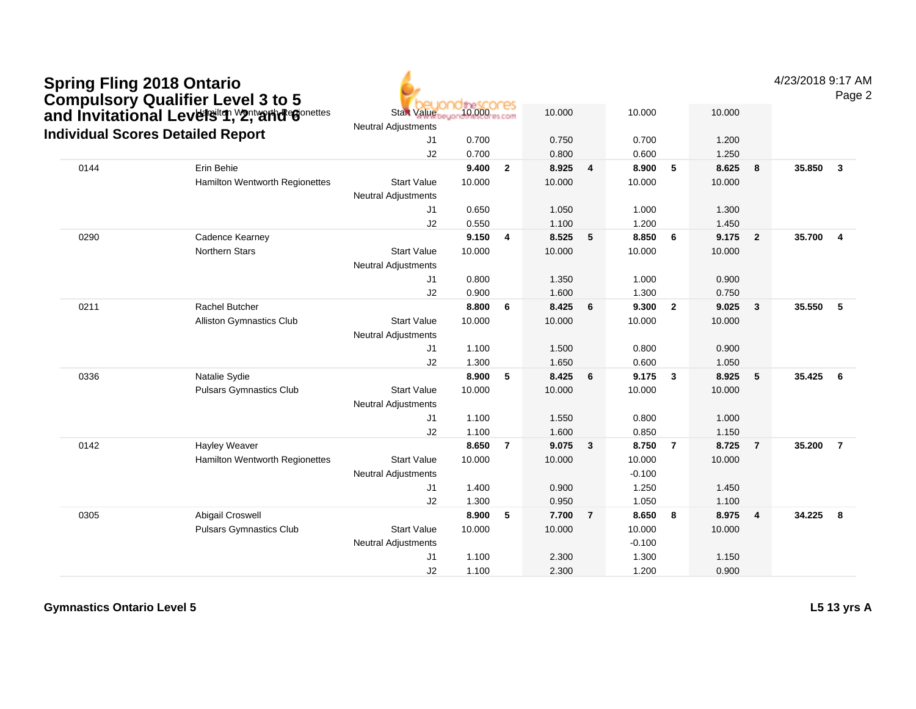| <b>Spring Fling 2018 Ontario</b><br><b>Compulsory Qualifier Level 3 to 5</b> | and Invitational Levelsiten, Yontvaride Gonettes | <b>Start Value</b>         | 10.000 | ores           | 10.000 |                         | 10.000   |                | 10.000 |                | 4/23/2018 9:17 AM | Page 2                  |
|------------------------------------------------------------------------------|--------------------------------------------------|----------------------------|--------|----------------|--------|-------------------------|----------|----------------|--------|----------------|-------------------|-------------------------|
|                                                                              |                                                  | <b>Neutral Adjustments</b> |        |                |        |                         |          |                |        |                |                   |                         |
| <b>Individual Scores Detailed Report</b>                                     |                                                  | J1                         | 0.700  |                | 0.750  |                         | 0.700    |                | 1.200  |                |                   |                         |
|                                                                              |                                                  | J2                         | 0.700  |                | 0.800  |                         | 0.600    |                | 1.250  |                |                   |                         |
| 0144                                                                         | Erin Behie                                       |                            | 9.400  | $\overline{2}$ | 8.925  | $\overline{\mathbf{4}}$ | 8.900    | 5              | 8.625  | 8              | 35.850            | $\mathbf{3}$            |
|                                                                              | Hamilton Wentworth Regionettes                   | <b>Start Value</b>         | 10.000 |                | 10.000 |                         | 10.000   |                | 10.000 |                |                   |                         |
|                                                                              |                                                  | <b>Neutral Adjustments</b> |        |                |        |                         |          |                |        |                |                   |                         |
|                                                                              |                                                  | J1                         | 0.650  |                | 1.050  |                         | 1.000    |                | 1.300  |                |                   |                         |
|                                                                              |                                                  | J <sub>2</sub>             | 0.550  |                | 1.100  |                         | 1.200    |                | 1.450  |                |                   |                         |
| 0290                                                                         | Cadence Kearney                                  |                            | 9.150  | $\overline{4}$ | 8.525  | 5                       | 8.850    | 6              | 9.175  | $\overline{2}$ | 35.700            | $\overline{\mathbf{4}}$ |
|                                                                              | <b>Northern Stars</b>                            | <b>Start Value</b>         | 10.000 |                | 10.000 |                         | 10.000   |                | 10.000 |                |                   |                         |
|                                                                              |                                                  | <b>Neutral Adjustments</b> |        |                |        |                         |          |                |        |                |                   |                         |
|                                                                              |                                                  | J1                         | 0.800  |                | 1.350  |                         | 1.000    |                | 0.900  |                |                   |                         |
|                                                                              |                                                  | J2                         | 0.900  |                | 1.600  |                         | 1.300    |                | 0.750  |                |                   |                         |
| 0211                                                                         | <b>Rachel Butcher</b>                            |                            | 8.800  | 6              | 8.425  | 6                       | 9.300    | $\overline{2}$ | 9.025  | $\mathbf{3}$   | 35.550            | - 5                     |
|                                                                              | <b>Alliston Gymnastics Club</b>                  | <b>Start Value</b>         | 10.000 |                | 10.000 |                         | 10.000   |                | 10.000 |                |                   |                         |
|                                                                              |                                                  | <b>Neutral Adjustments</b> |        |                |        |                         |          |                |        |                |                   |                         |
|                                                                              |                                                  | J1                         | 1.100  |                | 1.500  |                         | 0.800    |                | 0.900  |                |                   |                         |
|                                                                              |                                                  | J2                         | 1.300  |                | 1.650  |                         | 0.600    |                | 1.050  |                |                   |                         |
| 0336                                                                         | Natalie Sydie                                    |                            | 8.900  | $-5$           | 8.425  | 6                       | 9.175    | $\mathbf{3}$   | 8.925  | 5              | 35.425            | 6                       |
|                                                                              | <b>Pulsars Gymnastics Club</b>                   | <b>Start Value</b>         | 10.000 |                | 10.000 |                         | 10.000   |                | 10.000 |                |                   |                         |
|                                                                              |                                                  | <b>Neutral Adjustments</b> |        |                |        |                         |          |                |        |                |                   |                         |
|                                                                              |                                                  | J1                         | 1.100  |                | 1.550  |                         | 0.800    |                | 1.000  |                |                   |                         |
|                                                                              |                                                  | J2                         | 1.100  |                | 1.600  |                         | 0.850    |                | 1.150  |                |                   |                         |
| 0142                                                                         | Hayley Weaver                                    |                            | 8.650  | $\overline{7}$ | 9.075  | $\overline{\mathbf{3}}$ | 8.750    | $\overline{7}$ | 8.725  | $\overline{7}$ | 35.200            | $\overline{7}$          |
|                                                                              | Hamilton Wentworth Regionettes                   | <b>Start Value</b>         | 10.000 |                | 10.000 |                         | 10.000   |                | 10.000 |                |                   |                         |
|                                                                              |                                                  | Neutral Adjustments        |        |                |        |                         | $-0.100$ |                |        |                |                   |                         |
|                                                                              |                                                  | J1                         | 1.400  |                | 0.900  |                         | 1.250    |                | 1.450  |                |                   |                         |
|                                                                              |                                                  | J2                         | 1.300  |                | 0.950  |                         | 1.050    |                | 1.100  |                |                   |                         |
| 0305                                                                         | Abigail Croswell                                 |                            | 8.900  | 5              | 7.700  | $\overline{7}$          | 8.650    | 8              | 8.975  | $\overline{4}$ | 34.225            | - 8                     |
|                                                                              | <b>Pulsars Gymnastics Club</b>                   | <b>Start Value</b>         | 10.000 |                | 10.000 |                         | 10.000   |                | 10.000 |                |                   |                         |
|                                                                              |                                                  | <b>Neutral Adjustments</b> |        |                |        |                         | $-0.100$ |                |        |                |                   |                         |
|                                                                              |                                                  | J <sub>1</sub>             | 1.100  |                | 2.300  |                         | 1.300    |                | 1.150  |                |                   |                         |
|                                                                              |                                                  | J2                         | 1.100  |                | 2.300  |                         | 1.200    |                | 0.900  |                |                   |                         |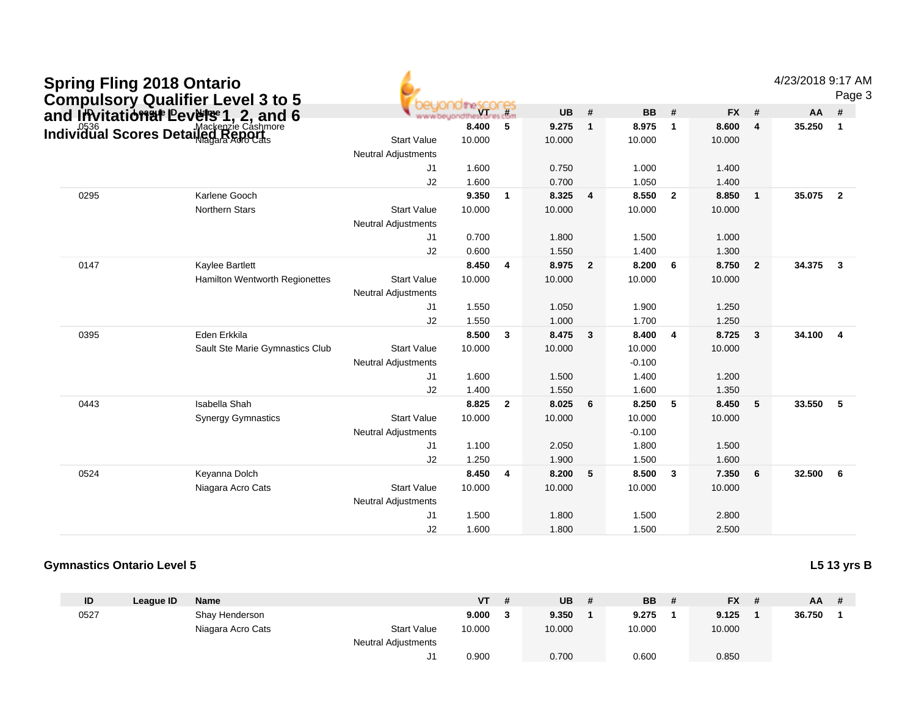| <b>Spring Fling 2018 Ontario</b> | <b>Compulsory Qualifier Level 3 to 5</b>                                   |                            |        |                         |           |                |           |                         |           |                | 4/23/2018 9:17 AM |                         | Page 3 |
|----------------------------------|----------------------------------------------------------------------------|----------------------------|--------|-------------------------|-----------|----------------|-----------|-------------------------|-----------|----------------|-------------------|-------------------------|--------|
|                                  | and Invitational Levelse 1, 2, and 6<br>Individual Scores Detailed Reports |                            |        |                         | <b>UB</b> | #              | <b>BB</b> | #                       | <b>FX</b> | #              | <b>AA</b>         | #                       |        |
|                                  |                                                                            |                            | 8.400  | 5                       | 9.275     | $\mathbf{1}$   | 8.975     | $\overline{1}$          | 8.600     | $\overline{4}$ | 35.250            | $\overline{1}$          |        |
|                                  |                                                                            | <b>Start Value</b>         | 10.000 |                         | 10.000    |                | 10.000    |                         | 10.000    |                |                   |                         |        |
|                                  |                                                                            | <b>Neutral Adjustments</b> |        |                         |           |                |           |                         |           |                |                   |                         |        |
|                                  |                                                                            | J <sub>1</sub>             | 1.600  |                         | 0.750     |                | 1.000     |                         | 1.400     |                |                   |                         |        |
|                                  |                                                                            | J2                         | 1.600  |                         | 0.700     |                | 1.050     |                         | 1.400     |                |                   |                         |        |
| 0295                             | Karlene Gooch                                                              |                            | 9.350  | $\overline{1}$          | 8.325     | $\overline{4}$ | 8.550     | $\overline{2}$          | 8.850     | $\mathbf{1}$   | 35.075            | $\overline{\mathbf{2}}$ |        |
|                                  | <b>Northern Stars</b>                                                      | <b>Start Value</b>         | 10.000 |                         | 10.000    |                | 10.000    |                         | 10.000    |                |                   |                         |        |
|                                  |                                                                            | <b>Neutral Adjustments</b> |        |                         |           |                |           |                         |           |                |                   |                         |        |
|                                  |                                                                            | J1                         | 0.700  |                         | 1.800     |                | 1.500     |                         | 1.000     |                |                   |                         |        |
|                                  |                                                                            | J2                         | 0.600  |                         | 1.550     |                | 1.400     |                         | 1.300     |                |                   |                         |        |
| 0147                             | Kaylee Bartlett                                                            |                            | 8.450  | $\overline{4}$          | 8.975     | $\overline{2}$ | 8.200     | 6                       | 8.750     | $\overline{2}$ | 34.375            | $\overline{\mathbf{3}}$ |        |
|                                  | Hamilton Wentworth Regionettes                                             | <b>Start Value</b>         | 10.000 |                         | 10.000    |                | 10.000    |                         | 10.000    |                |                   |                         |        |
|                                  |                                                                            | <b>Neutral Adjustments</b> |        |                         |           |                |           |                         |           |                |                   |                         |        |
|                                  |                                                                            | J1                         | 1.550  |                         | 1.050     |                | 1.900     |                         | 1.250     |                |                   |                         |        |
|                                  |                                                                            | J2                         | 1.550  |                         | 1.000     |                | 1.700     |                         | 1.250     |                |                   |                         |        |
| 0395                             | Eden Erkkila                                                               |                            | 8.500  | $\overline{\mathbf{3}}$ | 8.475     | $\mathbf{3}$   | 8.400     | $\overline{4}$          | 8.725     | 3              | 34.100            | $\overline{4}$          |        |
|                                  | Sault Ste Marie Gymnastics Club                                            | <b>Start Value</b>         | 10.000 |                         | 10.000    |                | 10.000    |                         | 10.000    |                |                   |                         |        |
|                                  |                                                                            | <b>Neutral Adjustments</b> |        |                         |           |                | $-0.100$  |                         |           |                |                   |                         |        |
|                                  |                                                                            | J1.                        | 1.600  |                         | 1.500     |                | 1.400     |                         | 1.200     |                |                   |                         |        |
|                                  |                                                                            | J2                         | 1.400  |                         | 1.550     |                | 1.600     |                         | 1.350     |                |                   |                         |        |
| 0443                             | Isabella Shah                                                              |                            | 8.825  | $\overline{2}$          | 8.025     | 6              | 8.250     | 5                       | 8.450     | 5              | 33.550            | 5                       |        |
|                                  | <b>Synergy Gymnastics</b>                                                  | <b>Start Value</b>         | 10.000 |                         | 10.000    |                | 10.000    |                         | 10.000    |                |                   |                         |        |
|                                  |                                                                            | <b>Neutral Adjustments</b> |        |                         |           |                | $-0.100$  |                         |           |                |                   |                         |        |
|                                  |                                                                            | J1                         | 1.100  |                         | 2.050     |                | 1.800     |                         | 1.500     |                |                   |                         |        |
|                                  |                                                                            | J2                         | 1.250  |                         | 1.900     |                | 1.500     |                         | 1.600     |                |                   |                         |        |
| 0524                             | Keyanna Dolch                                                              |                            | 8.450  | $\overline{4}$          | 8.200     | 5              | 8.500     | $\overline{\mathbf{3}}$ | 7.350     | 6              | 32.500            | 6                       |        |
|                                  | Niagara Acro Cats                                                          | <b>Start Value</b>         | 10.000 |                         | 10.000    |                | 10.000    |                         | 10.000    |                |                   |                         |        |
|                                  |                                                                            | <b>Neutral Adjustments</b> |        |                         |           |                |           |                         |           |                |                   |                         |        |
|                                  |                                                                            | J <sub>1</sub>             | 1.500  |                         | 1.800     |                | 1.500     |                         | 2.800     |                |                   |                         |        |
|                                  |                                                                            | J2                         | 1.600  |                         | 1.800     |                | 1.500     |                         | 2.500     |                |                   |                         |        |

### **Gymnastics Ontario Level 5**

| L5 13 yrs B<br>- |  |
|------------------|--|
|------------------|--|

| ID   | League ID | <b>Name</b>       |                     | <b>VT</b> | -# | <b>UB</b> | <b>BB</b> | <b>FX</b> | $AA$ # |  |
|------|-----------|-------------------|---------------------|-----------|----|-----------|-----------|-----------|--------|--|
| 0527 |           | Shay Henderson    |                     | 9.000     | -3 | 9.350     | 9.275     | 9.125     | 36.750 |  |
|      |           | Niagara Acro Cats | <b>Start Value</b>  | 10.000    |    | 10.000    | 10.000    | 10.000    |        |  |
|      |           |                   | Neutral Adjustments |           |    |           |           |           |        |  |
|      |           |                   |                     | 0.900     |    | 0.700     | 0.600     | 0.850     |        |  |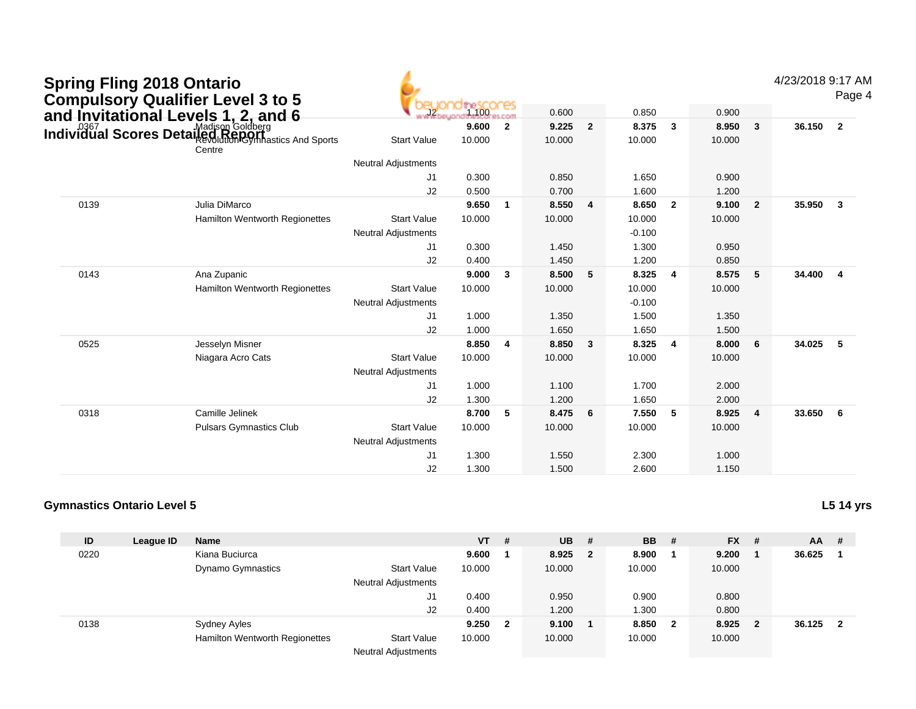| <b>Spring Fling 2018 Ontario</b><br><b>Compulsory Qualifier Level 3 to 5</b> |                                                                                                     |                            | 1.100  | ores           | 0.600  |                | 0.850    |                         | 0.900  |              | 4/23/2018 9:17 A | Page           |
|------------------------------------------------------------------------------|-----------------------------------------------------------------------------------------------------|----------------------------|--------|----------------|--------|----------------|----------|-------------------------|--------|--------------|------------------|----------------|
|                                                                              |                                                                                                     |                            | 9.600  | $\overline{2}$ | 9.225  | $\overline{2}$ | 8.375    | $\mathbf{3}$            | 8.950  | 3            | 36.150           | $\overline{2}$ |
|                                                                              | and Invitational Levels 1, 2, and 6<br>Individual Scores Detailed Regionalists and Sports<br>Centre | <b>Start Value</b>         | 10.000 |                | 10.000 |                | 10.000   |                         | 10.000 |              |                  |                |
|                                                                              |                                                                                                     | <b>Neutral Adjustments</b> |        |                |        |                |          |                         |        |              |                  |                |
|                                                                              |                                                                                                     | J <sub>1</sub>             | 0.300  |                | 0.850  |                | 1.650    |                         | 0.900  |              |                  |                |
|                                                                              |                                                                                                     | J2                         | 0.500  |                | 0.700  |                | 1.600    |                         | 1.200  |              |                  |                |
| 0139                                                                         | Julia DiMarco                                                                                       |                            | 9.650  | $\mathbf{1}$   | 8.550  | 4              | 8.650    | $\overline{\mathbf{2}}$ | 9.100  | $\mathbf{2}$ | 35.950           | $\mathbf{3}$   |
|                                                                              | Hamilton Wentworth Regionettes                                                                      | <b>Start Value</b>         | 10.000 |                | 10.000 |                | 10.000   |                         | 10.000 |              |                  |                |
|                                                                              |                                                                                                     | <b>Neutral Adjustments</b> |        |                |        |                | $-0.100$ |                         |        |              |                  |                |
|                                                                              |                                                                                                     | J1                         | 0.300  |                | 1.450  |                | 1.300    |                         | 0.950  |              |                  |                |
|                                                                              |                                                                                                     | J2                         | 0.400  |                | 1.450  |                | 1.200    |                         | 0.850  |              |                  |                |
| 0143                                                                         | Ana Zupanic                                                                                         |                            | 9.000  | 3              | 8.500  | 5              | 8.325    | $\overline{4}$          | 8.575  | 5            | 34.400           | $\overline{4}$ |
|                                                                              | Hamilton Wentworth Regionettes                                                                      | <b>Start Value</b>         | 10.000 |                | 10.000 |                | 10.000   |                         | 10.000 |              |                  |                |
|                                                                              |                                                                                                     | <b>Neutral Adjustments</b> |        |                |        |                | $-0.100$ |                         |        |              |                  |                |
|                                                                              |                                                                                                     | J1                         | 1.000  |                | 1.350  |                | 1.500    |                         | 1.350  |              |                  |                |
|                                                                              |                                                                                                     | J2                         | 1.000  |                | 1.650  |                | 1.650    |                         | 1.500  |              |                  |                |
| 0525                                                                         | Jesselyn Misner                                                                                     |                            | 8.850  | $\overline{4}$ | 8.850  | 3              | 8.325    | $\overline{4}$          | 8.000  | 6            | 34.025           | 5              |
|                                                                              | Niagara Acro Cats                                                                                   | <b>Start Value</b>         | 10.000 |                | 10.000 |                | 10.000   |                         | 10.000 |              |                  |                |
|                                                                              |                                                                                                     | <b>Neutral Adjustments</b> |        |                |        |                |          |                         |        |              |                  |                |
|                                                                              |                                                                                                     | J1                         | 1.000  |                | 1.100  |                | 1.700    |                         | 2.000  |              |                  |                |
|                                                                              |                                                                                                     | J2                         | 1.300  |                | 1.200  |                | 1.650    |                         | 2.000  |              |                  |                |
| 0318                                                                         | Camille Jelinek                                                                                     |                            | 8.700  | 5              | 8.475  | 6              | 7.550    | 5                       | 8.925  | 4            | 33.650           | 6              |
|                                                                              | <b>Pulsars Gymnastics Club</b>                                                                      | <b>Start Value</b>         | 10.000 |                | 10.000 |                | 10.000   |                         | 10.000 |              |                  |                |
|                                                                              |                                                                                                     | <b>Neutral Adjustments</b> |        |                |        |                |          |                         |        |              |                  |                |
|                                                                              |                                                                                                     | J <sub>1</sub>             | 1.300  |                | 1.550  |                | 2.300    |                         | 1.000  |              |                  |                |
|                                                                              |                                                                                                     | J2                         | 1.300  |                | 1.500  |                | 2.600    |                         | 1.150  |              |                  |                |

#### **Gymnastics Ontario Level 5L5 14 yrs**

| ID   | League ID | <b>Name</b>                           |                            | $VT$ # |              | <b>UB</b> | - #      | <b>BB</b> | -#                      | <b>FX</b> | # | AA     | - # |
|------|-----------|---------------------------------------|----------------------------|--------|--------------|-----------|----------|-----------|-------------------------|-----------|---|--------|-----|
| 0220 |           | Kiana Buciurca                        |                            | 9.600  |              | 8.925     | $\sim$ 2 | 8.900     |                         | 9.200     |   | 36.625 |     |
|      |           | <b>Dynamo Gymnastics</b>              | <b>Start Value</b>         | 10.000 |              | 10.000    |          | 10.000    |                         | 10.000    |   |        |     |
|      |           |                                       | <b>Neutral Adjustments</b> |        |              |           |          |           |                         |           |   |        |     |
|      |           |                                       | J1                         | 0.400  |              | 0.950     |          | 0.900     |                         | 0.800     |   |        |     |
|      |           |                                       | J <sub>2</sub>             | 0.400  |              | 1.200     |          | 1.300     |                         | 0.800     |   |        |     |
| 0138 |           | Sydney Ayles                          |                            | 9.250  | $\mathbf{2}$ | 9.100     |          | 8.850     | $\overline{\mathbf{2}}$ | 8.925     | 2 | 36.125 |     |
|      |           | <b>Hamilton Wentworth Regionettes</b> | <b>Start Value</b>         | 10.000 |              | 10.000    |          | 10.000    |                         | 10.000    |   |        |     |
|      |           |                                       | Network Network and the    |        |              |           |          |           |                         |           |   |        |     |

Neutral Adjustments

## 4/23/2018 9:17 AM

Page 4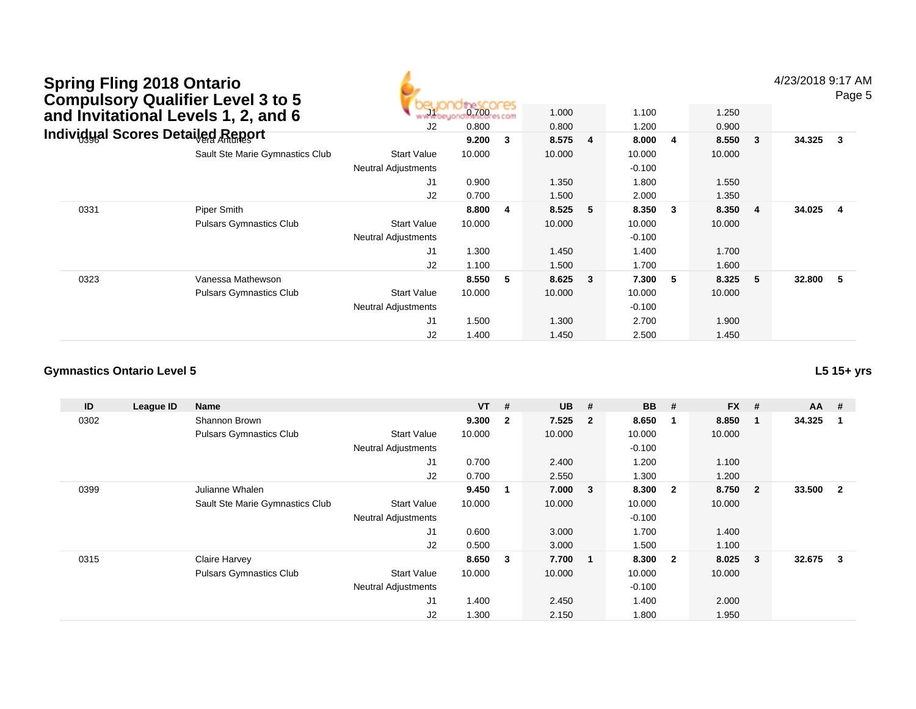# **Spring Fling 2018 Ontario Compulsory Qualifier Level 3 to 5and Invitational Levels 1, 2, and 6**

4/23/2018 9:17 AM

Page 5

|      | Compulsory Qualifier Level 3 to 5<br>and Invitational Levels 1, 2, and 6 | J2                         | <b>DeSCOCES</b><br>0.800 |   | 1.000<br>0.800 |                         | 1.100<br>1.200 |                         | 1.250<br>0.900 |                |        | ı ayı  |
|------|--------------------------------------------------------------------------|----------------------------|--------------------------|---|----------------|-------------------------|----------------|-------------------------|----------------|----------------|--------|--------|
|      | <b>Individual Scores Detailed Report</b>                                 |                            | 9.200                    | 3 | 8.575 4        |                         | 8.000          | $\overline{\mathbf{4}}$ | 8.550          | 3              | 34.325 | $_{3}$ |
|      | Sault Ste Marie Gymnastics Club                                          | <b>Start Value</b>         | 10.000                   |   | 10.000         |                         | 10.000         |                         | 10.000         |                |        |        |
|      |                                                                          | <b>Neutral Adjustments</b> |                          |   |                |                         | $-0.100$       |                         |                |                |        |        |
|      |                                                                          | J1                         | 0.900                    |   | 1.350          |                         | 1.800          |                         | 1.550          |                |        |        |
|      |                                                                          | J2                         | 0.700                    |   | 1.500          |                         | 2.000          |                         | 1.350          |                |        |        |
| 0331 | Piper Smith                                                              |                            | 8.800                    | 4 | 8.525          | 5                       | 8.350          | $\overline{\mathbf{3}}$ | 8.350          | $\overline{4}$ | 34.025 | 4      |
|      | <b>Pulsars Gymnastics Club</b>                                           | <b>Start Value</b>         | 10.000                   |   | 10.000         |                         | 10.000         |                         | 10.000         |                |        |        |
|      |                                                                          | <b>Neutral Adjustments</b> |                          |   |                |                         | $-0.100$       |                         |                |                |        |        |
|      |                                                                          | J <sub>1</sub>             | 1.300                    |   | 1.450          |                         | 1.400          |                         | 1.700          |                |        |        |
|      |                                                                          | J2                         | 1.100                    |   | 1.500          |                         | 1.700          |                         | 1.600          |                |        |        |
| 0323 | Vanessa Mathewson                                                        |                            | 8.550                    | 5 | 8.625          | $\overline{\mathbf{3}}$ | 7.300          | 5 <sub>5</sub>          | 8.325          | 5              | 32.800 | 5      |
|      | <b>Pulsars Gymnastics Club</b>                                           | <b>Start Value</b>         | 10.000                   |   | 10.000         |                         | 10.000         |                         | 10.000         |                |        |        |
|      |                                                                          | <b>Neutral Adjustments</b> |                          |   |                |                         | $-0.100$       |                         |                |                |        |        |
|      |                                                                          | J <sub>1</sub>             | 1.500                    |   | 1.300          |                         | 2.700          |                         | 1.900          |                |        |        |
|      |                                                                          | J2                         | 1.400                    |   | 1.450          |                         | 2.500          |                         | 1.450          |                |        |        |

### **Gymnastics Ontario Level 5**

**ID League ID Name VT # UB # BB # FX # AA #** 0302 Shannon Brown **9.300 <sup>2</sup> 7.525 <sup>2</sup> 8.650 <sup>1</sup> 8.850 <sup>1</sup> 34.325 <sup>1</sup>** Pulsars Gymnastics Clubb 3tart Value 10.000 10.000 10.000 10.000 10.000 Neutral Adjustments $-0.100$ 1.200 J1 0.700 2.400 1.200 1.100 J2 0.700 2.550 1.300 1.200 0399 Julianne Whalen **9.450 <sup>1</sup> 7.000 <sup>3</sup> 8.300 <sup>2</sup> 8.750 <sup>2</sup> 33.500 <sup>2</sup>** Sault Ste Marie Gymnastics Club Start Value 10.000 10.000 10.000 10.000 Neutral Adjustments $-0.100$ 1.700 J1 0.600 3.000 1.700 1.400 J2 0.500 3.000 1.500 1.100 0315 Claire Harvey **8.650 <sup>3</sup> 7.700 <sup>1</sup> 8.300 <sup>2</sup> 8.025 <sup>3</sup> 32.675 <sup>3</sup>** Pulsars Gymnastics Clubb 3tart Value 10.000 10.000 10.000 10.000 10.000 Neutral Adjustments $-0.100$ 1.400 J1 1.400 2.450 1.400 2.000 J21.300 2.150 1.800 1.950

**L5 15+ yrs**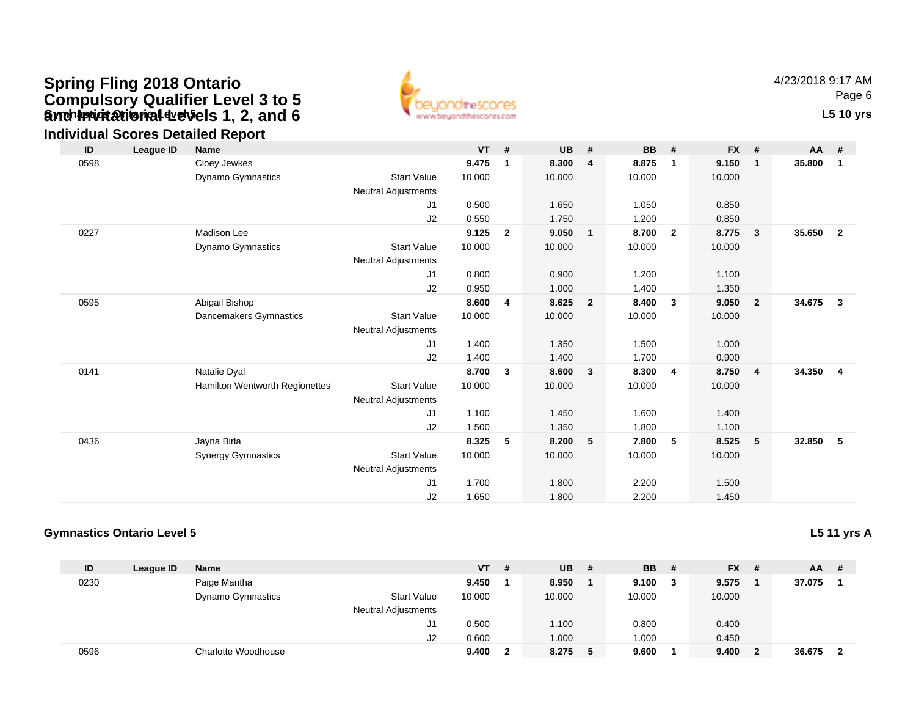# **Gynch invitational develos 1, 2, and 6** The Contact of Contact Contact Contact Contact Contact Contact Contact Contact Contact Contact Contact Contact Contact Contact Contact Contact Contact Contact Contact Contact Contac **Spring Fling 2018 Ontario Compulsory Qualifier Level 3 to 5 and Invitational Levels 1, 2, and 6**



4/23/2018 9:17 AMPage 6

### **Individual Scores Detailed Report**

| ID   | League ID | <b>Name</b>                    |                            | <b>VT</b> | $\pmb{\#}$     | UB     | #              | <b>BB</b> | #              | <b>FX</b> | #              | $AA$ # |                         |
|------|-----------|--------------------------------|----------------------------|-----------|----------------|--------|----------------|-----------|----------------|-----------|----------------|--------|-------------------------|
| 0598 |           | Cloey Jewkes                   |                            | 9.475     | 1              | 8.300  | 4              | 8.875     | -1             | 9.150     | -1             | 35.800 | $\mathbf{1}$            |
|      |           | Dynamo Gymnastics              | <b>Start Value</b>         | 10.000    |                | 10.000 |                | 10.000    |                | 10.000    |                |        |                         |
|      |           |                                | Neutral Adjustments        |           |                |        |                |           |                |           |                |        |                         |
|      |           |                                | J1                         | 0.500     |                | 1.650  |                | 1.050     |                | 0.850     |                |        |                         |
|      |           |                                | J2                         | 0.550     |                | 1.750  |                | 1.200     |                | 0.850     |                |        |                         |
| 0227 |           | <b>Madison Lee</b>             |                            | 9.125     | $\overline{2}$ | 9.050  | $\mathbf{1}$   | 8.700     | $\overline{2}$ | 8.775     | $\mathbf{3}$   | 35.650 | $\overline{\mathbf{2}}$ |
|      |           | <b>Dynamo Gymnastics</b>       | <b>Start Value</b>         | 10.000    |                | 10.000 |                | 10.000    |                | 10.000    |                |        |                         |
|      |           |                                | Neutral Adjustments        |           |                |        |                |           |                |           |                |        |                         |
|      |           |                                | J1                         | 0.800     |                | 0.900  |                | 1.200     |                | 1.100     |                |        |                         |
|      |           |                                | J2                         | 0.950     |                | 1.000  |                | 1.400     |                | 1.350     |                |        |                         |
| 0595 |           | Abigail Bishop                 |                            | 8.600     | 4              | 8.625  | $\overline{2}$ | 8.400     | $\mathbf{3}$   | 9.050     | $\overline{2}$ | 34.675 | $\overline{3}$          |
|      |           | Dancemakers Gymnastics         | <b>Start Value</b>         | 10.000    |                | 10.000 |                | 10.000    |                | 10.000    |                |        |                         |
|      |           |                                | <b>Neutral Adjustments</b> |           |                |        |                |           |                |           |                |        |                         |
|      |           |                                | J1                         | 1.400     |                | 1.350  |                | 1.500     |                | 1.000     |                |        |                         |
|      |           |                                | J2                         | 1.400     |                | 1.400  |                | 1.700     |                | 0.900     |                |        |                         |
| 0141 |           | Natalie Dyal                   |                            | 8.700     | $\mathbf{3}$   | 8.600  | $\mathbf{3}$   | 8.300     | $\overline{4}$ | 8.750     | $\overline{4}$ | 34.350 | $\overline{4}$          |
|      |           | Hamilton Wentworth Regionettes | <b>Start Value</b>         | 10.000    |                | 10.000 |                | 10.000    |                | 10.000    |                |        |                         |
|      |           |                                | <b>Neutral Adjustments</b> |           |                |        |                |           |                |           |                |        |                         |
|      |           |                                | J <sub>1</sub>             | 1.100     |                | 1.450  |                | 1.600     |                | 1.400     |                |        |                         |
|      |           |                                | J2                         | 1.500     |                | 1.350  |                | 1.800     |                | 1.100     |                |        |                         |
| 0436 |           | Jayna Birla                    |                            | 8.325     | 5              | 8.200  | 5              | 7.800     | 5              | 8.525     | 5              | 32.850 | 5                       |
|      |           | <b>Synergy Gymnastics</b>      | <b>Start Value</b>         | 10.000    |                | 10.000 |                | 10.000    |                | 10.000    |                |        |                         |
|      |           |                                | Neutral Adjustments        |           |                |        |                |           |                |           |                |        |                         |
|      |           |                                | J1                         | 1.700     |                | 1.800  |                | 2.200     |                | 1.500     |                |        |                         |
|      |           |                                | J <sub>2</sub>             | 1.650     |                | 1.800  |                | 2.200     |                | 1.450     |                |        |                         |

### **Gymnastics Ontario Level 5**

**L5 11 yrs A**

| ID   | League ID | Name                     |                            | $VT$ # |   | <b>UB</b> | -# | <b>BB</b> | - # | $FX$ # | AA.    | - # |
|------|-----------|--------------------------|----------------------------|--------|---|-----------|----|-----------|-----|--------|--------|-----|
| 0230 |           | Paige Mantha             |                            | 9.450  |   | 8.950     |    | 9.100     |     | 9.575  | 37.075 |     |
|      |           | <b>Dynamo Gymnastics</b> | <b>Start Value</b>         | 10.000 |   | 10.000    |    | 10.000    |     | 10.000 |        |     |
|      |           |                          | <b>Neutral Adjustments</b> |        |   |           |    |           |     |        |        |     |
|      |           |                          | J1.                        | 0.500  |   | 1.100     |    | 0.800     |     | 0.400  |        |     |
|      |           |                          | J2                         | 0.600  |   | 1.000     |    | .000      |     | 0.450  |        |     |
| 0596 |           | Charlotte Woodhouse      |                            | 9.400  | າ | 8.275     | 5  | 9.600     |     | 9.400  | 36.675 |     |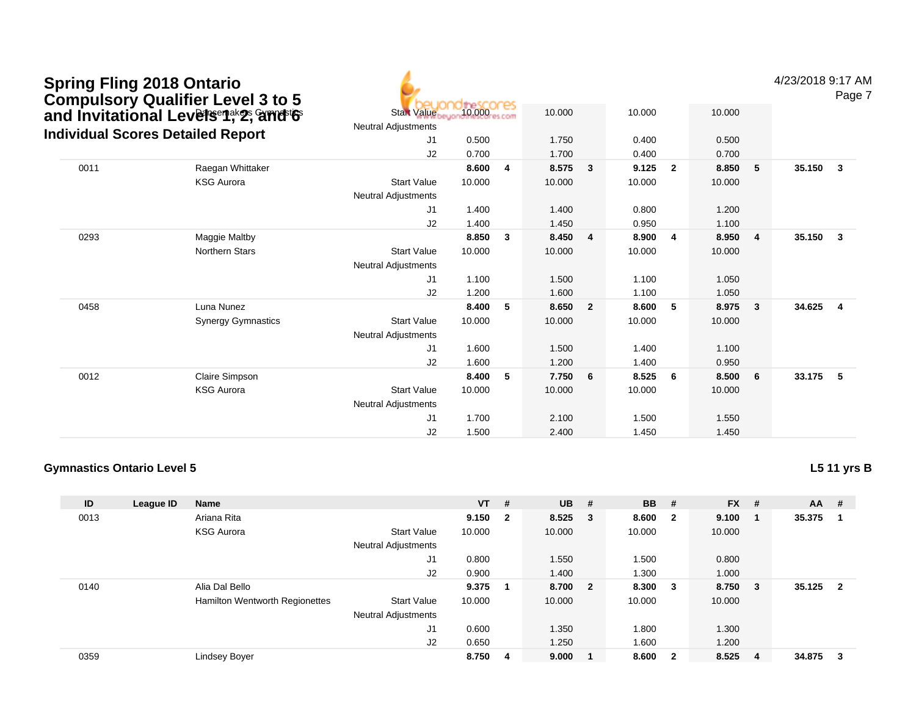|      | <b>Spring Fling 2018 Ontario</b><br><b>Compulsory Qualifier Level 3 to 5</b> |                                                  | theSCOCES |                |        |                |        |                |        |              | 4/23/2018 9:17 AM | Page 7                  |
|------|------------------------------------------------------------------------------|--------------------------------------------------|-----------|----------------|--------|----------------|--------|----------------|--------|--------------|-------------------|-------------------------|
|      | and Invitational Levelsent 2, and 6                                          | <b>Start Value</b><br><b>Neutral Adjustments</b> | 10.000    |                | 10.000 |                | 10.000 |                | 10.000 |              |                   |                         |
|      | <b>Individual Scores Detailed Report</b>                                     | J1                                               | 0.500     |                | 1.750  |                | 0.400  |                | 0.500  |              |                   |                         |
|      |                                                                              | J2                                               | 0.700     |                | 1.700  |                | 0.400  |                | 0.700  |              |                   |                         |
| 0011 | Raegan Whittaker                                                             |                                                  | 8.600     | $\overline{4}$ | 8.575  | $\mathbf{3}$   | 9.125  | $\overline{2}$ | 8.850  | 5            | 35.150            | $\overline{\mathbf{3}}$ |
|      | <b>KSG Aurora</b>                                                            | <b>Start Value</b><br><b>Neutral Adjustments</b> | 10.000    |                | 10.000 |                | 10.000 |                | 10.000 |              |                   |                         |
|      |                                                                              | J <sub>1</sub>                                   | 1.400     |                | 1.400  |                | 0.800  |                | 1.200  |              |                   |                         |
|      |                                                                              | J2                                               | 1.400     |                | 1.450  |                | 0.950  |                | 1.100  |              |                   |                         |
| 0293 | Maggie Maltby                                                                |                                                  | 8.850     | $\mathbf{3}$   | 8.450  | 4              | 8.900  | 4              | 8.950  | 4            | 35.150            | $\overline{\mathbf{3}}$ |
|      | <b>Northern Stars</b>                                                        | <b>Start Value</b>                               | 10.000    |                | 10.000 |                | 10.000 |                | 10.000 |              |                   |                         |
|      |                                                                              | Neutral Adjustments                              |           |                |        |                |        |                |        |              |                   |                         |
|      |                                                                              | J1                                               | 1.100     |                | 1.500  |                | 1.100  |                | 1.050  |              |                   |                         |
|      |                                                                              | J2                                               | 1.200     |                | 1.600  |                | 1.100  |                | 1.050  |              |                   |                         |
| 0458 | Luna Nunez                                                                   |                                                  | 8.400     | -5             | 8.650  | $\overline{2}$ | 8.600  | 5              | 8.975  | $\mathbf{3}$ | 34.625            | $\overline{4}$          |
|      | <b>Synergy Gymnastics</b>                                                    | <b>Start Value</b>                               | 10.000    |                | 10.000 |                | 10.000 |                | 10.000 |              |                   |                         |
|      |                                                                              | <b>Neutral Adjustments</b>                       |           |                |        |                |        |                |        |              |                   |                         |
|      |                                                                              | J1                                               | 1.600     |                | 1.500  |                | 1.400  |                | 1.100  |              |                   |                         |
|      |                                                                              | J2                                               | 1.600     |                | 1.200  |                | 1.400  |                | 0.950  |              |                   |                         |
| 0012 | <b>Claire Simpson</b>                                                        |                                                  | 8.400     | -5             | 7.750  | 6              | 8.525  | - 6            | 8.500  | 6            | 33.175            | - 5                     |
|      | <b>KSG Aurora</b>                                                            | <b>Start Value</b>                               | 10.000    |                | 10.000 |                | 10.000 |                | 10.000 |              |                   |                         |
|      |                                                                              | <b>Neutral Adjustments</b>                       |           |                |        |                |        |                |        |              |                   |                         |
|      |                                                                              | J <sub>1</sub>                                   | 1.700     |                | 2.100  |                | 1.500  |                | 1.550  |              |                   |                         |
|      |                                                                              | J <sub>2</sub>                                   | 1.500     |                | 2.400  |                | 1.450  |                | 1.450  |              |                   |                         |

### **Gymnastics Ontario Level 5**

**L5 11 yrs B**

| ID   | League ID | Name                           |                            | <b>VT</b> | #                       | <b>UB</b> | #                       | <b>BB</b> | #            | <b>FX</b> | # | $AA$ # |                         |
|------|-----------|--------------------------------|----------------------------|-----------|-------------------------|-----------|-------------------------|-----------|--------------|-----------|---|--------|-------------------------|
| 0013 |           | Ariana Rita                    |                            | 9.150     | $\overline{\mathbf{2}}$ | 8.525     | - 3                     | 8.600     | $\mathbf{2}$ | 9.100     |   | 35.375 |                         |
|      |           | <b>KSG Aurora</b>              | <b>Start Value</b>         | 10.000    |                         | 10.000    |                         | 10.000    |              | 10.000    |   |        |                         |
|      |           |                                | <b>Neutral Adjustments</b> |           |                         |           |                         |           |              |           |   |        |                         |
|      |           |                                | J1                         | 0.800     |                         | 1.550     |                         | 1.500     |              | 0.800     |   |        |                         |
|      |           |                                | J <sub>2</sub>             | 0.900     |                         | 1.400     |                         | 1.300     |              | 1.000     |   |        |                         |
| 0140 |           | Alia Dal Bello                 |                            | 9.375     |                         | 8.700     | $\overline{\mathbf{2}}$ | 8.300     | -3           | 8.750     | 3 | 35.125 | $\overline{\mathbf{2}}$ |
|      |           | Hamilton Wentworth Regionettes | <b>Start Value</b>         | 10.000    |                         | 10.000    |                         | 10.000    |              | 10.000    |   |        |                         |
|      |           |                                | <b>Neutral Adjustments</b> |           |                         |           |                         |           |              |           |   |        |                         |
|      |           |                                | J1                         | 0.600     |                         | 1.350     |                         | 1.800     |              | 1.300     |   |        |                         |
|      |           |                                | J <sub>2</sub>             | 0.650     |                         | 1.250     |                         | 1.600     |              | 1.200     |   |        |                         |
| 0359 |           | Lindsey Boyer                  |                            | 8.750     | 4                       | 9.000     | - 1                     | 8.600     | $\mathbf{2}$ | 8.525     | 4 | 34.875 | 3                       |